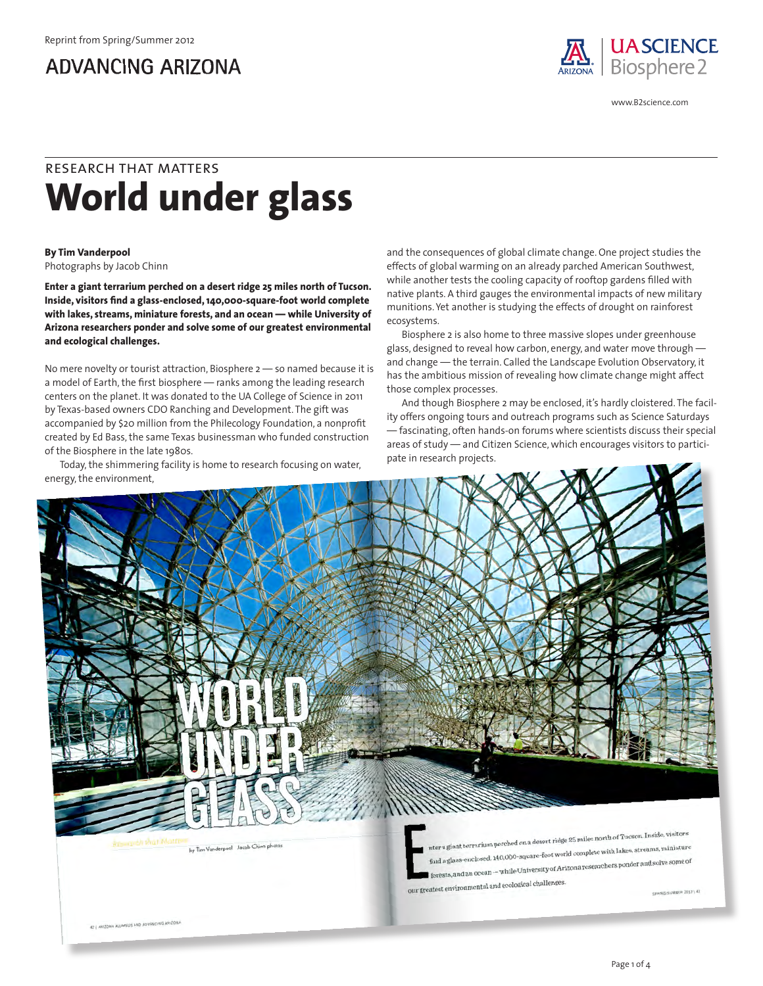

www.B2science.com

# **World under glass** research that matters

#### **By Tim Vanderpool**

Photographs by Jacob Chinn

**Enter a giant terrarium perched on a desert ridge 25 miles north of Tucson. Inside, visitors find a glass-enclosed, 140,000-square-foot world complete with lakes, streams, miniature forests, and an ocean — while University of Arizona researchers ponder and solve some of our greatest environmental and ecological challenges.**

No mere novelty or tourist attraction, Biosphere 2 — so named because it is a model of Earth, the first biosphere — ranks among the leading research centers on the planet. It was donated to the UA College of Science in 2011 by Texas-based owners CDO Ranching and Development. The gift was accompanied by \$20 million from the Philecology Foundation, a nonprofit created by Ed Bass, the same Texas businessman who funded construction of the Biosphere in the late 1980s.

Today, the shimmering facility is home to research focusing on water, energy, the environment,

and the consequences of global climate change. One project studies the effects of global warming on an already parched American Southwest, while another tests the cooling capacity of rooftop gardens filled with native plants. A third gauges the environmental impacts of new military munitions. Yet another is studying the effects of drought on rainforest ecosystems.

Biosphere 2 is also home to three massive slopes under greenhouse glass, designed to reveal how carbon, energy, and water move through and change — the terrain. Called the Landscape Evolution Observatory, it has the ambitious mission of revealing how climate change might affect those complex processes.

And though Biosphere 2 may be enclosed, it's hardly cloistered. The facility offers ongoing tours and outreach programs such as Science Saturdays — fascinating, often hands-on forums where scientists discuss their special areas of study — and Citizen Science, which encourages visitors to participate in research projects.

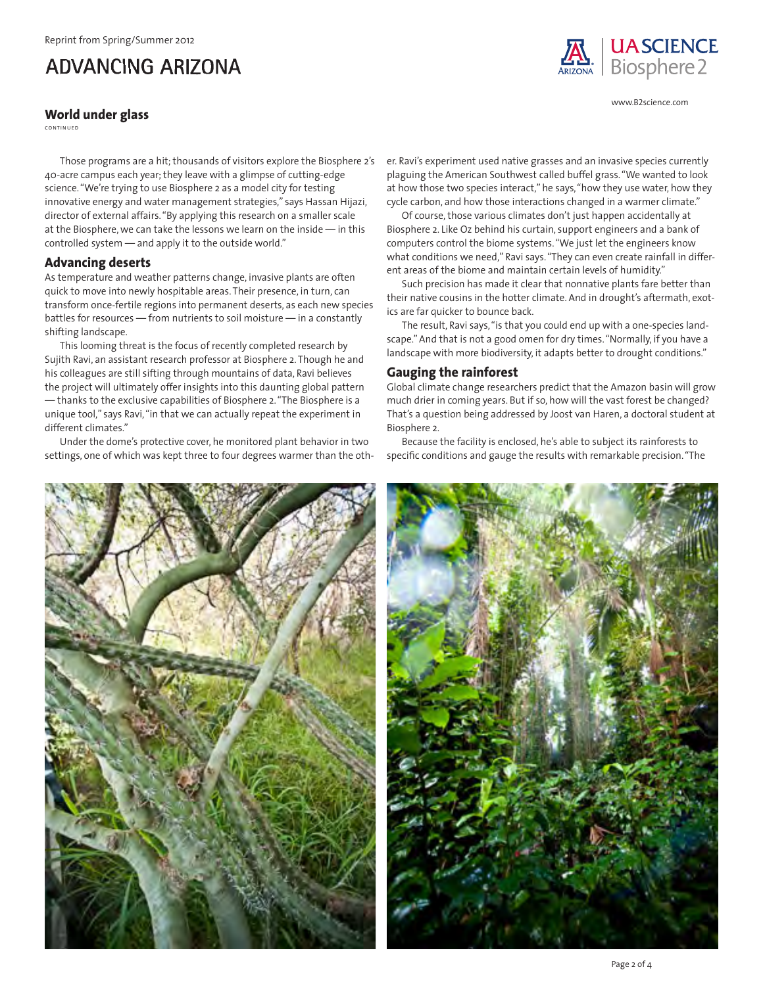### **World under glass**

continued

Those programs are a hit; thousands of visitors explore the Biosphere 2's 40-acre campus each year; they leave with a glimpse of cutting-edge science. "We're trying to use Biosphere 2 as a model city for testing innovative energy and water management strategies," says Hassan Hijazi, director of external affairs. "By applying this research on a smaller scale at the Biosphere, we can take the lessons we learn on the inside — in this controlled system — and apply it to the outside world."

#### **Advancing deserts**

As temperature and weather patterns change, invasive plants are often quick to move into newly hospitable areas. Their presence, in turn, can transform once-fertile regions into permanent deserts, as each new species battles for resources — from nutrients to soil moisture — in a constantly shifting landscape.

This looming threat is the focus of recently completed research by Sujith Ravi, an assistant research professor at Biosphere 2. Though he and his colleagues are still sifting through mountains of data, Ravi believes the project will ultimately offer insights into this daunting global pattern — thanks to the exclusive capabilities of Biosphere 2. "The Biosphere is a unique tool," says Ravi, "in that we can actually repeat the experiment in different climates."

Under the dome's protective cover, he monitored plant behavior in two settings, one of which was kept three to four degrees warmer than the oth-



www.B2science.com

er. Ravi's experiment used native grasses and an invasive species currently plaguing the American Southwest called buffel grass. "We wanted to look at how those two species interact," he says, "how they use water, how they cycle carbon, and how those interactions changed in a warmer climate."

Of course, those various climates don't just happen accidentally at Biosphere 2. Like Oz behind his curtain, support engineers and a bank of computers control the biome systems. "We just let the engineers know what conditions we need," Ravi says. "They can even create rainfall in different areas of the biome and maintain certain levels of humidity."

Such precision has made it clear that nonnative plants fare better than their native cousins in the hotter climate. And in drought's aftermath, exotics are far quicker to bounce back.

The result, Ravi says, "is that you could end up with a one-species landscape." And that is not a good omen for dry times. "Normally, if you have a landscape with more biodiversity, it adapts better to drought conditions."

### **Gauging the rainforest**

Global climate change researchers predict that the Amazon basin will grow much drier in coming years. But if so, how will the vast forest be changed? That's a question being addressed by Joost van Haren, a doctoral student at Biosphere 2.

Because the facility is enclosed, he's able to subject its rainforests to specific conditions and gauge the results with remarkable precision. "The



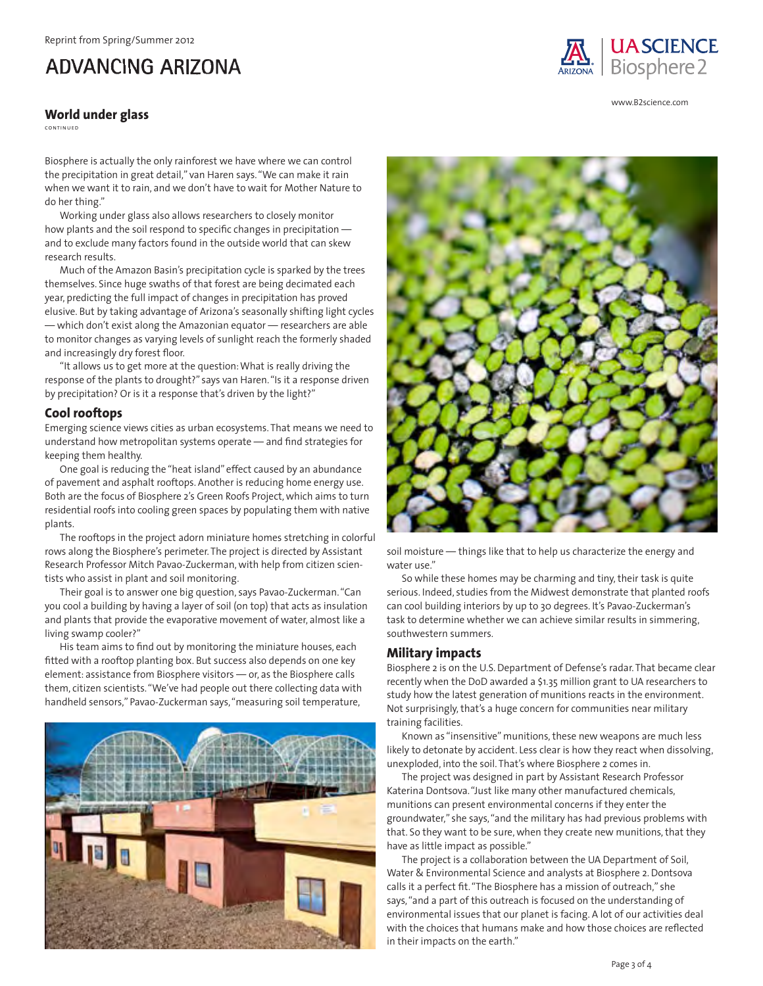### **World under glass**

continued

Biosphere is actually the only rainforest we have where we can control the precipitation in great detail," van Haren says. "We can make it rain when we want it to rain, and we don't have to wait for Mother Nature to do her thing."

Working under glass also allows researchers to closely monitor how plants and the soil respond to specific changes in precipitation and to exclude many factors found in the outside world that can skew research results.

Much of the Amazon Basin's precipitation cycle is sparked by the trees themselves. Since huge swaths of that forest are being decimated each year, predicting the full impact of changes in precipitation has proved elusive. But by taking advantage of Arizona's seasonally shifting light cycles — which don't exist along the Amazonian equator — researchers are able to monitor changes as varying levels of sunlight reach the formerly shaded and increasingly dry forest floor.

"It allows us to get more at the question: What is really driving the response of the plants to drought?" says van Haren. "Is it a response driven by precipitation? Or is it a response that's driven by the light?"

### **Cool rooftops**

Emerging science views cities as urban ecosystems. That means we need to understand how metropolitan systems operate — and find strategies for keeping them healthy.

One goal is reducing the "heat island" effect caused by an abundance of pavement and asphalt rooftops. Another is reducing home energy use. Both are the focus of Biosphere 2's Green Roofs Project, which aims to turn residential roofs into cooling green spaces by populating them with native plants.

The rooftops in the project adorn miniature homes stretching in colorful rows along the Biosphere's perimeter. The project is directed by Assistant Research Professor Mitch Pavao-Zuckerman, with help from citizen scientists who assist in plant and soil monitoring.

Their goal is to answer one big question, says Pavao-Zuckerman. "Can you cool a building by having a layer of soil (on top) that acts as insulation and plants that provide the evaporative movement of water, almost like a living swamp cooler?"

His team aims to find out by monitoring the miniature houses, each fitted with a rooftop planting box. But success also depends on one key element: assistance from Biosphere visitors — or, as the Biosphere calls them, citizen scientists. "We've had people out there collecting data with handheld sensors," Pavao-Zuckerman says, "measuring soil temperature,





soil moisture — things like that to help us characterize the energy and water use."

So while these homes may be charming and tiny, their task is quite serious. Indeed, studies from the Midwest demonstrate that planted roofs can cool building interiors by up to 30 degrees. It's Pavao-Zuckerman's task to determine whether we can achieve similar results in simmering, southwestern summers.

### **Military impacts**

Biosphere 2 is on the U.S. Department of Defense's radar. That became clear recently when the DoD awarded a \$1.35 million grant to UA researchers to study how the latest generation of munitions reacts in the environment. Not surprisingly, that's a huge concern for communities near military training facilities.

Known as "insensitive" munitions, these new weapons are much less likely to detonate by accident. Less clear is how they react when dissolving, unexploded, into the soil. That's where Biosphere 2 comes in.

The project was designed in part by Assistant Research Professor Katerina Dontsova. "Just like many other manufactured chemicals, munitions can present environmental concerns if they enter the groundwater," she says, "and the military has had previous problems with that. So they want to be sure, when they create new munitions, that they have as little impact as possible."

The project is a collaboration between the UA Department of Soil, Water & Environmental Science and analysts at Biosphere 2. Dontsova calls it a perfect fit. "The Biosphere has a mission of outreach," she says, "and a part of this outreach is focused on the understanding of environmental issues that our planet is facing. A lot of our activities deal with the choices that humans make and how those choices are reflected in their impacts on the earth."



www.B2science.com